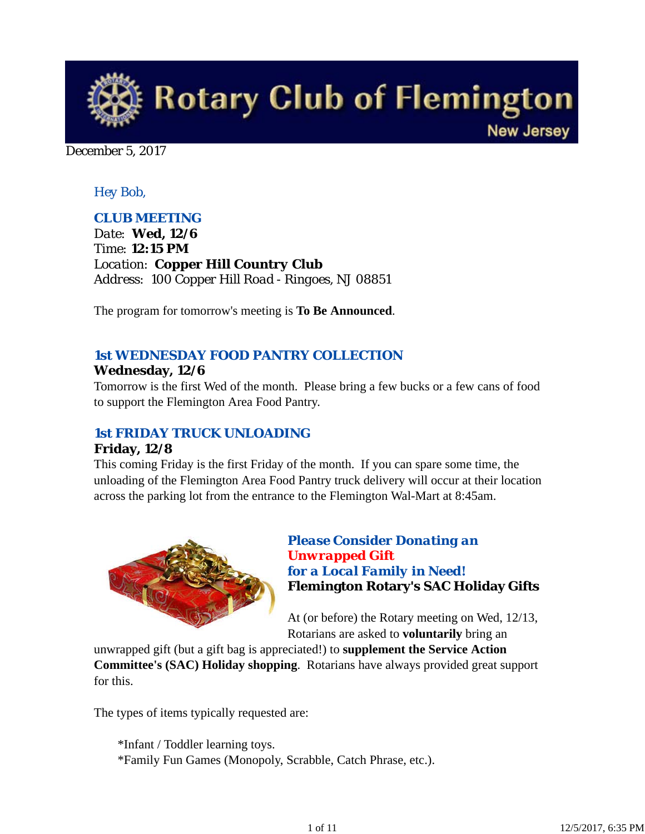

December 5, 2017

## *Hey Bob,*

## *CLUB MEETING*

*Date: Wed, 12/6 Time: 12:15 PM Location: Copper Hill Country Club Address: 100 Copper Hill Road - Ringoes, NJ 08851*

The program for tomorrow's meeting is **To Be Announced**.

## *1st WEDNESDAY FOOD PANTRY COLLECTION* **Wednesday, 12/6**

Tomorrow is the first Wed of the month. Please bring a few bucks or a few cans of food to support the Flemington Area Food Pantry.

### *1st FRIDAY TRUCK UNLOADING*

#### **Friday, 12/8**

This coming Friday is the first Friday of the month. If you can spare some time, the unloading of the Flemington Area Food Pantry truck delivery will occur at their location across the parking lot from the entrance to the Flemington Wal-Mart at 8:45am.



# *Please Consider Donating an Unwrapped Gift for a Local Family in Need!* **Flemington Rotary's SAC Holiday Gifts**

At (or before) the Rotary meeting on Wed, 12/13, Rotarians are asked to **voluntarily** bring an

unwrapped gift (but a gift bag is appreciated!) to **supplement the Service Action Committee's (SAC) Holiday shopping**. Rotarians have always provided great support for this.

The types of items typically requested are:

\*Infant / Toddler learning toys. \*Family Fun Games (Monopoly, Scrabble, Catch Phrase, etc.).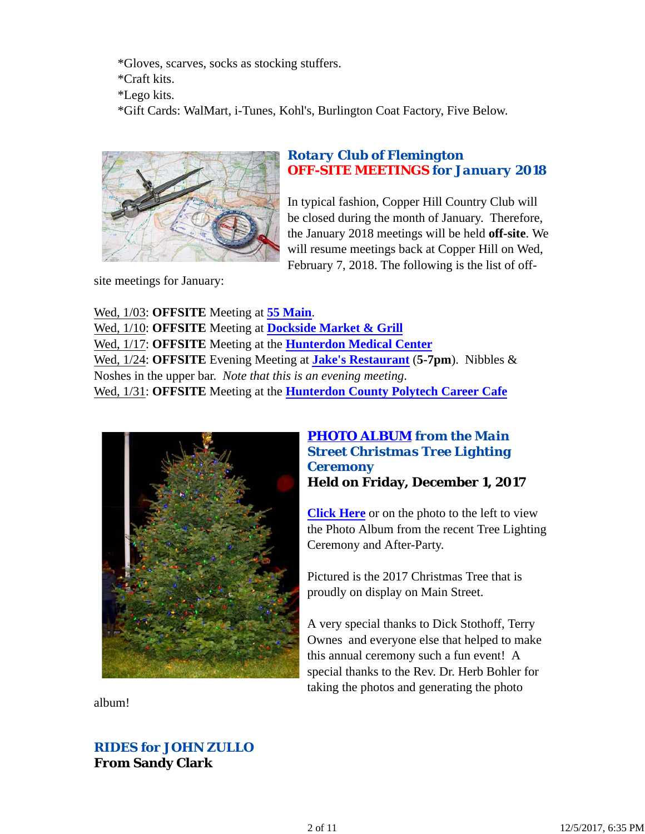\*Gloves, scarves, socks as stocking stuffers. \*Craft kits. \*Lego kits. \*Gift Cards: WalMart, i-Tunes, Kohl's, Burlington Coat Factory, Five Below.



## *Rotary Club of Flemington OFF-SITE MEETINGS for January 2018*

In typical fashion, Copper Hill Country Club will be closed during the month of January. Therefore, the January 2018 meetings will be held **off-site**. We will resume meetings back at Copper Hill on Wed, February 7, 2018. The following is the list of off-

site meetings for January:

Wed, 1/03: **OFFSITE** Meeting at **55 Main**. Wed, 1/10: **OFFSITE** Meeting at **Dockside Market & Grill** Wed, 1/17: **OFFSITE** Meeting at the **Hunterdon Medical Center** Wed, 1/24: **OFFSITE** Evening Meeting at **Jake's Restaurant** (**5-7pm**). Nibbles & Noshes in the upper bar. *Note that this is an evening meeting*. Wed, 1/31: **OFFSITE** Meeting at the **Hunterdon County Polytech Career Cafe**



### *PHOTO ALBUM from the Main Street Christmas Tree Lighting Ceremony* **Held on Friday, December 1, 2017**

**Click Here** or on the photo to the left to view the Photo Album from the recent Tree Lighting Ceremony and After-Party.

Pictured is the 2017 Christmas Tree that is proudly on display on Main Street.

A very special thanks to Dick Stothoff, Terry Ownes and everyone else that helped to make this annual ceremony such a fun event! A special thanks to the Rev. Dr. Herb Bohler for taking the photos and generating the photo

album!

# *RIDES for JOHN ZULLO* **From Sandy Clark**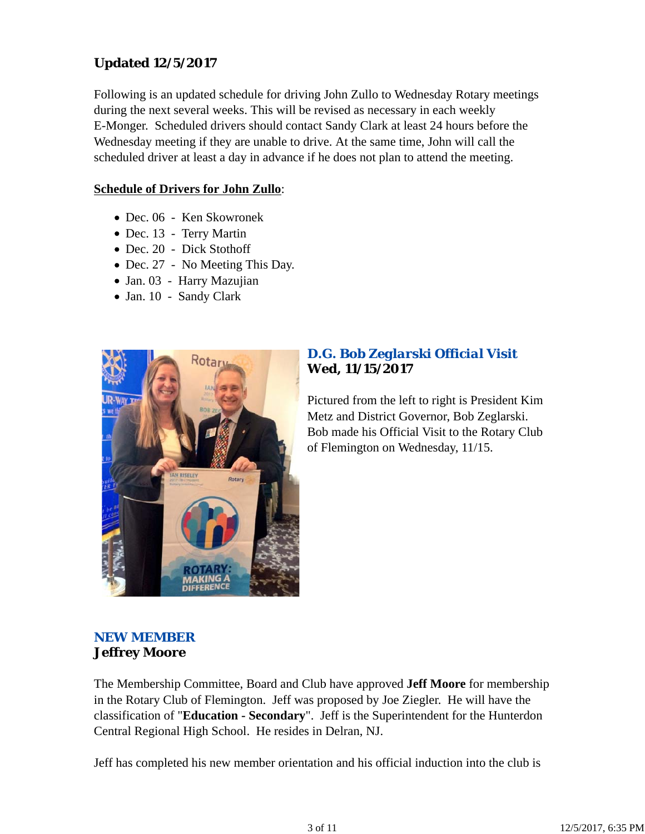# **Updated 12/5/2017**

Following is an updated schedule for driving John Zullo to Wednesday Rotary meetings during the next several weeks. This will be revised as necessary in each weekly E-Monger. Scheduled drivers should contact Sandy Clark at least 24 hours before the Wednesday meeting if they are unable to drive. At the same time, John will call the scheduled driver at least a day in advance if he does not plan to attend the meeting.

### **Schedule of Drivers for John Zullo**:

- Dec. 06 Ken Skowronek
- Dec. 13 Terry Martin
- Dec. 20 Dick Stothoff
- Dec. 27 No Meeting This Day.
- Jan. 03 Harry Mazujian
- Jan. 10 Sandy Clark



## *D.G. Bob Zeglarski Official Visit* **Wed, 11/15/2017**

Pictured from the left to right is President Kim Metz and District Governor, Bob Zeglarski. Bob made his Official Visit to the Rotary Club of Flemington on Wednesday, 11/15.

# *NEW MEMBER* **Jeffrey Moore**

The Membership Committee, Board and Club have approved **Jeff Moore** for membership in the Rotary Club of Flemington. Jeff was proposed by Joe Ziegler. He will have the classification of "**Education - Secondary**". Jeff is the Superintendent for the Hunterdon Central Regional High School. He resides in Delran, NJ.

Jeff has completed his new member orientation and his official induction into the club is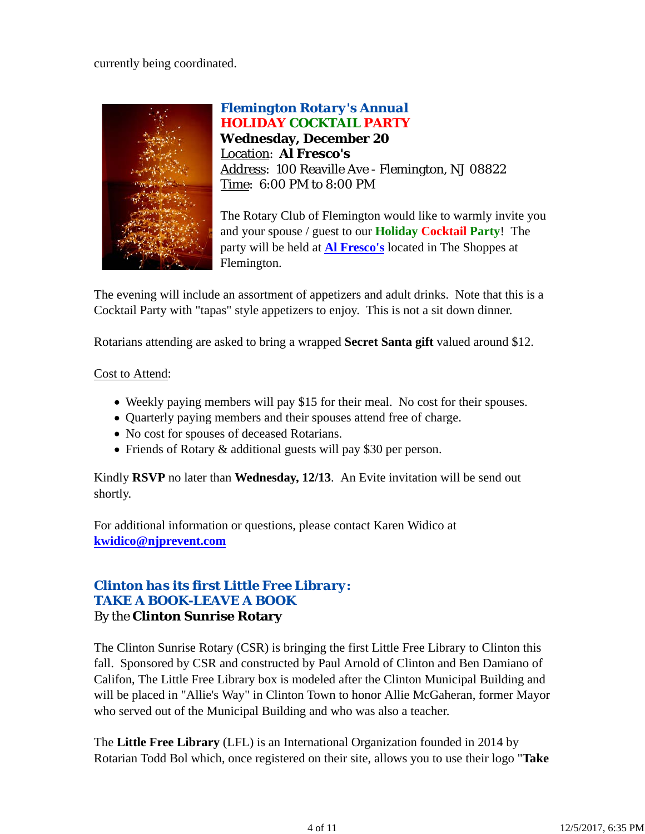currently being coordinated.



*Flemington Rotary's Annual HOLIDAY COCKTAIL PARTY* **Wednesday, December 20** Location: **Al Fresco's** Address: 100 Reaville Ave - Flemington, NJ 08822 Time: 6:00 PM to 8:00 PM

The Rotary Club of Flemington would like to warmly invite you and your spouse / guest to our **Holiday Cocktail Party**! The party will be held at **Al Fresco's** located in The Shoppes at Flemington.

The evening will include an assortment of appetizers and adult drinks. Note that this is a Cocktail Party with "tapas" style appetizers to enjoy. This is not a sit down dinner.

Rotarians attending are asked to bring a wrapped **Secret Santa gift** valued around \$12.

### Cost to Attend:

- Weekly paying members will pay \$15 for their meal. No cost for their spouses.
- Ouarterly paying members and their spouses attend free of charge.
- No cost for spouses of deceased Rotarians.
- Friends of Rotary & additional guests will pay \$30 per person.

Kindly **RSVP** no later than **Wednesday, 12/13**. An Evite invitation will be send out shortly.

For additional information or questions, please contact Karen Widico at **kwidico@njprevent.com**

## *Clinton has its first Little Free Library: TAKE A BOOK-LEAVE A BOOK* By the **Clinton Sunrise Rotary**

The Clinton Sunrise Rotary (CSR) is bringing the first Little Free Library to Clinton this fall. Sponsored by CSR and constructed by Paul Arnold of Clinton and Ben Damiano of Califon, The Little Free Library box is modeled after the Clinton Municipal Building and will be placed in "Allie's Way" in Clinton Town to honor Allie McGaheran, former Mayor who served out of the Municipal Building and who was also a teacher.

The **Little Free Library** (LFL) is an International Organization founded in 2014 by Rotarian Todd Bol which, once registered on their site, allows you to use their logo "**Take**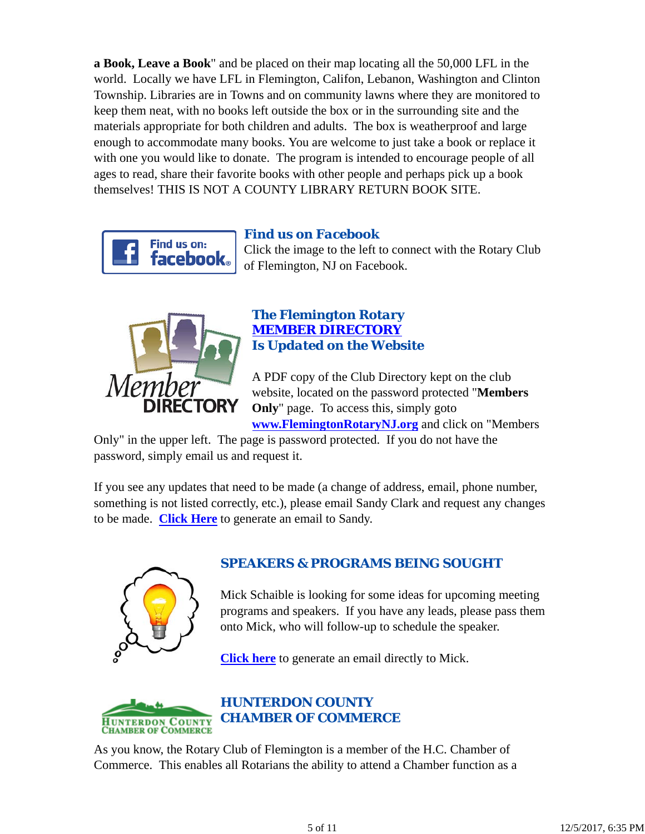**a Book, Leave a Book**" and be placed on their map locating all the 50,000 LFL in the world. Locally we have LFL in Flemington, Califon, Lebanon, Washington and Clinton Township. Libraries are in Towns and on community lawns where they are monitored to keep them neat, with no books left outside the box or in the surrounding site and the materials appropriate for both children and adults. The box is weatherproof and large enough to accommodate many books. You are welcome to just take a book or replace it with one you would like to donate. The program is intended to encourage people of all ages to read, share their favorite books with other people and perhaps pick up a book themselves! THIS IS NOT A COUNTY LIBRARY RETURN BOOK SITE.



## *Find us on Facebook*

Click the image to the left to connect with the Rotary Club of Flemington, NJ on Facebook.



### *The Flemington Rotary MEMBER DIRECTORY Is Updated on the Website*

A PDF copy of the Club Directory kept on the club website, located on the password protected "**Members Only**" page. To access this, simply goto **www.FlemingtonRotaryNJ.org** and click on "Members

Only" in the upper left. The page is password protected. If you do not have the password, simply email us and request it.

If you see any updates that need to be made (a change of address, email, phone number, something is not listed correctly, etc.), please email Sandy Clark and request any changes to be made. **Click Here** to generate an email to Sandy.



# *SPEAKERS & PROGRAMS BEING SOUGHT*

Mick Schaible is looking for some ideas for upcoming meeting programs and speakers. If you have any leads, please pass them onto Mick, who will follow-up to schedule the speaker.

**Click here** to generate an email directly to Mick.



As you know, the Rotary Club of Flemington is a member of the H.C. Chamber of Commerce. This enables all Rotarians the ability to attend a Chamber function as a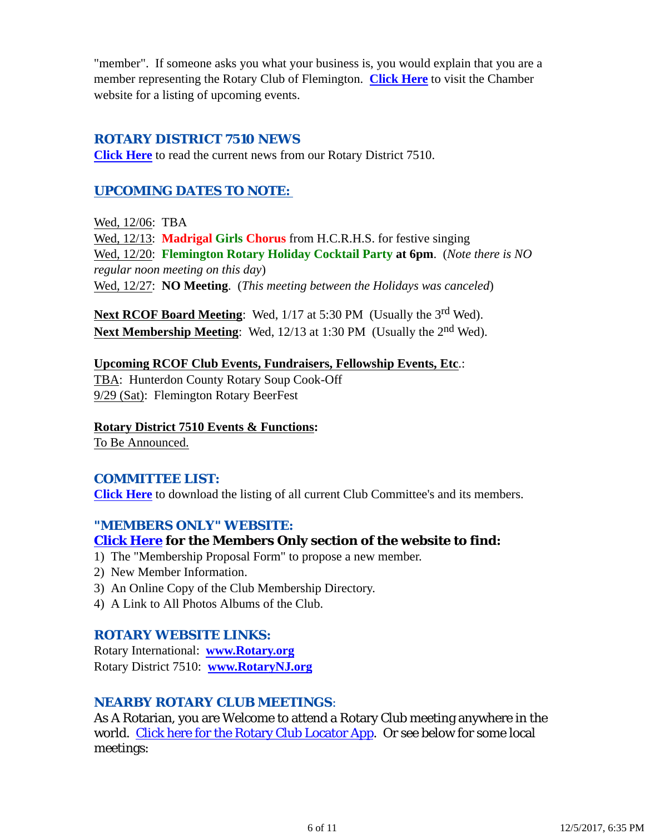"member". If someone asks you what your business is, you would explain that you are a member representing the Rotary Club of Flemington. **Click Here** to visit the Chamber website for a listing of upcoming events.

### *ROTARY DISTRICT 7510 NEWS*

**Click Here** to read the current news from our Rotary District 7510.

## *UPCOMING DATES TO NOTE:*

Wed, 12/06: TBA Wed, 12/13: **Madrigal Girls Chorus** from H.C.R.H.S. for festive singing Wed, 12/20: **Flemington Rotary Holiday Cocktail Party at 6pm**. (*Note there is NO regular noon meeting on this day*) Wed, 12/27: **NO Meeting**. (*This meeting between the Holidays was canceled*)

**Next RCOF Board Meeting:** Wed, 1/17 at 5:30 PM (Usually the 3<sup>rd</sup> Wed). Next Membership Meeting: Wed, 12/13 at 1:30 PM (Usually the 2<sup>nd</sup> Wed).

**Upcoming RCOF Club Events, Fundraisers, Fellowship Events, Etc**.: TBA: Hunterdon County Rotary Soup Cook-Off 9/29 (Sat): Flemington Rotary BeerFest

### **Rotary District 7510 Events & Functions:**

To Be Announced.

#### *COMMITTEE LIST:*

**Click Here** to download the listing of all current Club Committee's and its members.

#### *"MEMBERS ONLY" WEBSITE:*

#### **Click Here for the Members Only section of the website to find:**

- 1) The "Membership Proposal Form" to propose a new member.
- 2) New Member Information.
- 3) An Online Copy of the Club Membership Directory.
- 4) A Link to All Photos Albums of the Club.

#### *ROTARY WEBSITE LINKS:*

Rotary International: **www.Rotary.org** Rotary District 7510: **www.RotaryNJ.org**

#### *NEARBY ROTARY CLUB MEETINGS:*

As A Rotarian, you are Welcome to attend a Rotary Club meeting anywhere in the world. Click here for the Rotary Club Locator App. Or see below for some local meetings: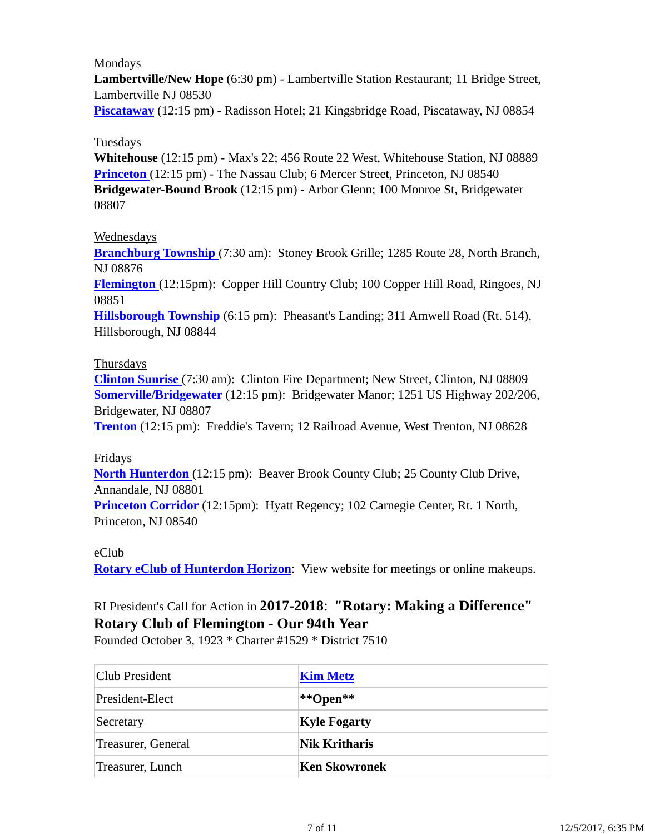### Mondays

**Lambertville/New Hope** (6:30 pm) - Lambertville Station Restaurant; 11 Bridge Street, Lambertville NJ 08530

**Piscataway** (12:15 pm) - Radisson Hotel; 21 Kingsbridge Road, Piscataway, NJ 08854

### Tuesdays

**Whitehouse** (12:15 pm) - Max's 22; 456 Route 22 West, Whitehouse Station, NJ 08889 **Princeton** (12:15 pm) - The Nassau Club; 6 Mercer Street, Princeton, NJ 08540 **Bridgewater-Bound Brook** (12:15 pm) - Arbor Glenn; 100 Monroe St, Bridgewater 08807

#### Wednesdays

**Branchburg Township** (7:30 am): Stoney Brook Grille; 1285 Route 28, North Branch, NJ 08876

**Flemington** (12:15pm): Copper Hill Country Club; 100 Copper Hill Road, Ringoes, NJ 08851

**Hillsborough Township** (6:15 pm): Pheasant's Landing; 311 Amwell Road (Rt. 514), Hillsborough, NJ 08844

### Thursdays

**Clinton Sunrise** (7:30 am): Clinton Fire Department; New Street, Clinton, NJ 08809 **Somerville/Bridgewater** (12:15 pm): Bridgewater Manor; 1251 US Highway 202/206, Bridgewater, NJ 08807

**Trenton** (12:15 pm): Freddie's Tavern; 12 Railroad Avenue, West Trenton, NJ 08628

#### Fridays

**North Hunterdon** (12:15 pm): Beaver Brook County Club; 25 County Club Drive, Annandale, NJ 08801

**Princeton Corridor** (12:15pm): Hyatt Regency; 102 Carnegie Center, Rt. 1 North, Princeton, NJ 08540

### eClub

**Rotary eClub of Hunterdon Horizon**: View website for meetings or online makeups.

# RI President's Call for Action in **2017-2018**: **"Rotary: Making a Difference" Rotary Club of Flemington - Our 94th Year**

Founded October 3, 1923 \* Charter #1529 \* District 7510

| Club President     | <b>Kim Metz</b>      |
|--------------------|----------------------|
| President-Elect    | **Open**             |
| Secretary          | <b>Kyle Fogarty</b>  |
| Treasurer, General | <b>Nik Kritharis</b> |
| Treasurer, Lunch   | Ken Skowronek        |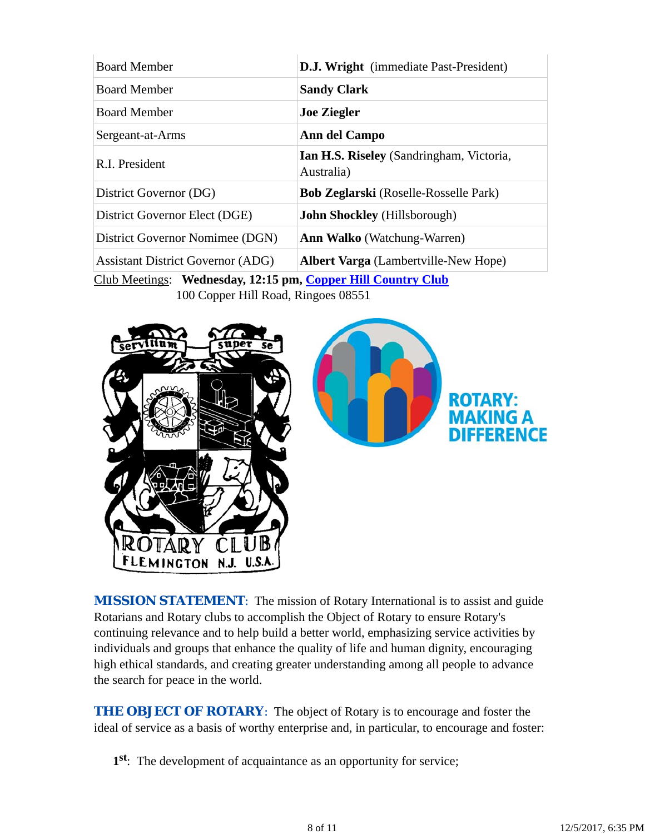| <b>Board Member</b>                      | <b>D.J. Wright</b> (immediate Past-President)          |
|------------------------------------------|--------------------------------------------------------|
| <b>Board Member</b>                      | <b>Sandy Clark</b>                                     |
| <b>Board Member</b>                      | <b>Joe Ziegler</b>                                     |
| Sergeant-at-Arms                         | Ann del Campo                                          |
| R.I. President                           | Ian H.S. Riseley (Sandringham, Victoria,<br>Australia) |
| District Governor (DG)                   | <b>Bob Zeglarski</b> (Roselle-Rosselle Park)           |
| District Governor Elect (DGE)            | <b>John Shockley</b> (Hillsborough)                    |
| District Governor Nomimee (DGN)          | <b>Ann Walko</b> (Watchung-Warren)                     |
| <b>Assistant District Governor (ADG)</b> | <b>Albert Varga</b> (Lambertville-New Hope)            |

Club Meetings: **Wednesday, 12:15 pm, Copper Hill Country Club** 100 Copper Hill Road, Ringoes 08551



**MISSION STATEMENT:** The mission of Rotary International is to assist and guide Rotarians and Rotary clubs to accomplish the Object of Rotary to ensure Rotary's continuing relevance and to help build a better world, emphasizing service activities by individuals and groups that enhance the quality of life and human dignity, encouraging high ethical standards, and creating greater understanding among all people to advance the search for peace in the world.

**THE OBJECT OF ROTARY:** The object of Rotary is to encourage and foster the ideal of service as a basis of worthy enterprise and, in particular, to encourage and foster:

**1st**: The development of acquaintance as an opportunity for service;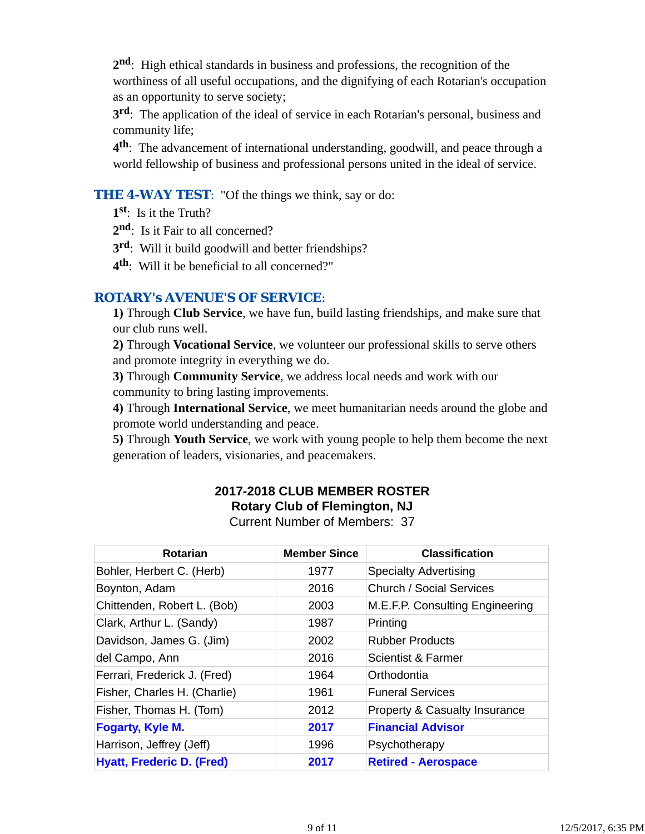**2nd**: High ethical standards in business and professions, the recognition of the worthiness of all useful occupations, and the dignifying of each Rotarian's occupation as an opportunity to serve society;

**3rd**: The application of the ideal of service in each Rotarian's personal, business and community life;

**4th**: The advancement of international understanding, goodwill, and peace through a world fellowship of business and professional persons united in the ideal of service.

### **THE 4-WAY TEST:** "Of the things we think, say or do:

**1st**: Is it the Truth?

- 2<sup>nd</sup>: Is it Fair to all concerned?
- **3rd**: Will it build goodwill and better friendships?
- **4th**: Will it be beneficial to all concerned?"

### *ROTARY's AVENUE'S OF SERVICE*:

**1)** Through **Club Service**, we have fun, build lasting friendships, and make sure that our club runs well.

**2)** Through **Vocational Service**, we volunteer our professional skills to serve others and promote integrity in everything we do.

**3)** Through **Community Service**, we address local needs and work with our community to bring lasting improvements.

**4)** Through **International Service**, we meet humanitarian needs around the globe and promote world understanding and peace.

**5)** Through **Youth Service**, we work with young people to help them become the next generation of leaders, visionaries, and peacemakers.

### **2017-2018 CLUB MEMBER ROSTER Rotary Club of Flemington, NJ** Current Number of Members: 37

| <b>Rotarian</b>                  | <b>Member Since</b> | <b>Classification</b>                    |
|----------------------------------|---------------------|------------------------------------------|
| Bohler, Herbert C. (Herb)        | 1977                | <b>Specialty Advertising</b>             |
| Boynton, Adam                    | 2016                | <b>Church / Social Services</b>          |
| Chittenden, Robert L. (Bob)      | 2003                | M.E.F.P. Consulting Engineering          |
| Clark, Arthur L. (Sandy)         | 1987                | Printing                                 |
| Davidson, James G. (Jim)         | 2002                | <b>Rubber Products</b>                   |
| del Campo, Ann                   | 2016                | Scientist & Farmer                       |
| Ferrari, Frederick J. (Fred)     | 1964                | Orthodontia                              |
| Fisher, Charles H. (Charlie)     | 1961                | <b>Funeral Services</b>                  |
| Fisher, Thomas H. (Tom)          | 2012                | <b>Property &amp; Casualty Insurance</b> |
| Fogarty, Kyle M.                 | 2017                | <b>Financial Advisor</b>                 |
| Harrison, Jeffrey (Jeff)         | 1996                | Psychotherapy                            |
| <b>Hyatt, Frederic D. (Fred)</b> | 2017                | <b>Retired - Aerospace</b>               |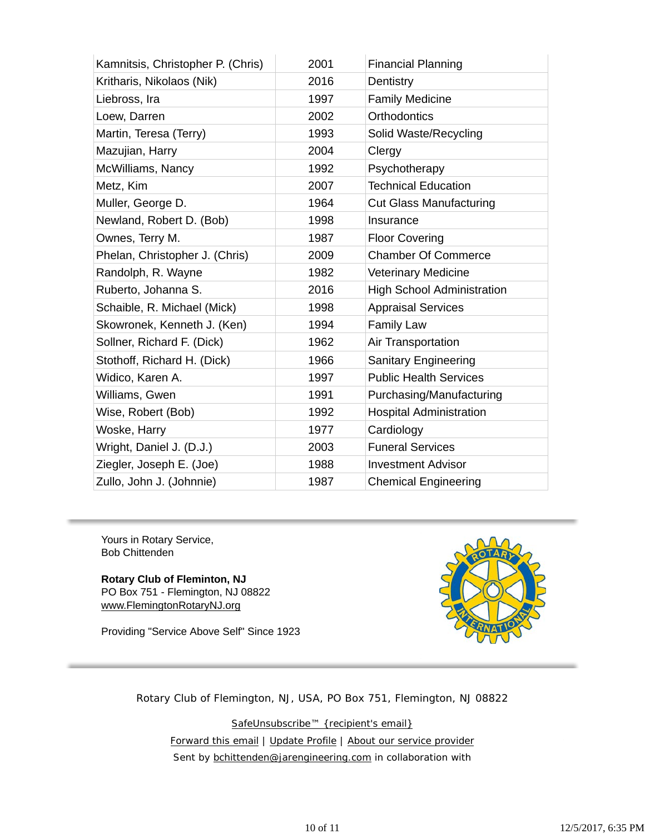| Kamnitsis, Christopher P. (Chris) | 2001 | <b>Financial Planning</b>         |
|-----------------------------------|------|-----------------------------------|
| Kritharis, Nikolaos (Nik)         | 2016 | Dentistry                         |
| Liebross, Ira                     | 1997 | <b>Family Medicine</b>            |
| Loew, Darren                      | 2002 | <b>Orthodontics</b>               |
| Martin, Teresa (Terry)            | 1993 | Solid Waste/Recycling             |
| Mazujian, Harry                   | 2004 | Clergy                            |
| McWilliams, Nancy                 | 1992 | Psychotherapy                     |
| Metz, Kim                         | 2007 | <b>Technical Education</b>        |
| Muller, George D.                 | 1964 | <b>Cut Glass Manufacturing</b>    |
| Newland, Robert D. (Bob)          | 1998 | Insurance                         |
| Ownes, Terry M.                   | 1987 | <b>Floor Covering</b>             |
| Phelan, Christopher J. (Chris)    | 2009 | <b>Chamber Of Commerce</b>        |
| Randolph, R. Wayne                | 1982 | <b>Veterinary Medicine</b>        |
| Ruberto, Johanna S.               | 2016 | <b>High School Administration</b> |
| Schaible, R. Michael (Mick)       | 1998 | <b>Appraisal Services</b>         |
| Skowronek, Kenneth J. (Ken)       | 1994 | <b>Family Law</b>                 |
| Sollner, Richard F. (Dick)        | 1962 | Air Transportation                |
| Stothoff, Richard H. (Dick)       | 1966 | <b>Sanitary Engineering</b>       |
| Widico, Karen A.                  | 1997 | <b>Public Health Services</b>     |
| Williams, Gwen                    | 1991 | Purchasing/Manufacturing          |
| Wise, Robert (Bob)                | 1992 | <b>Hospital Administration</b>    |
| Woske, Harry                      | 1977 | Cardiology                        |
| Wright, Daniel J. (D.J.)          | 2003 | <b>Funeral Services</b>           |
| Ziegler, Joseph E. (Joe)          | 1988 | <b>Investment Advisor</b>         |
| Zullo, John J. (Johnnie)          | 1987 | <b>Chemical Engineering</b>       |

Yours in Rotary Service, Bob Chittenden

**Rotary Club of Fleminton, NJ** PO Box 751 - Flemington, NJ 08822 www.FlemingtonRotaryNJ.org

Providing "Service Above Self" Since 1923



Rotary Club of Flemington, NJ, USA, PO Box 751, Flemington, NJ 08822

SafeUnsubscribe™ {recipient's email} Forward this email | Update Profile | About our service provider Sent by bchittenden@jarengineering.com in collaboration with